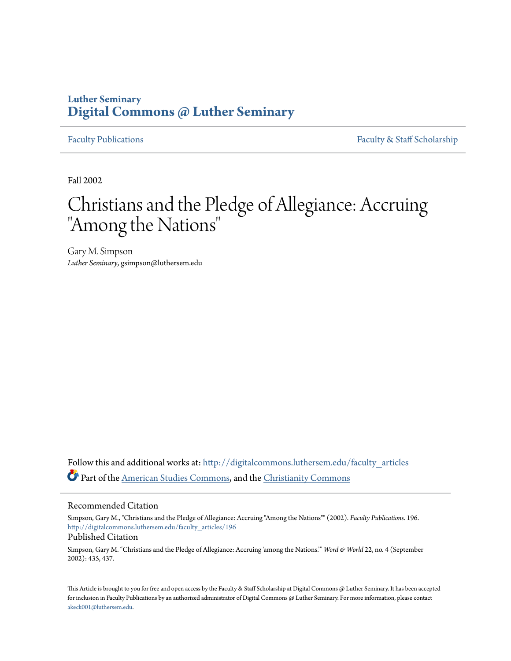## **Luther Seminary [Digital Commons @ Luther Seminary](http://digitalcommons.luthersem.edu?utm_source=digitalcommons.luthersem.edu%2Ffaculty_articles%2F196&utm_medium=PDF&utm_campaign=PDFCoverPages)**

[Faculty Publications](http://digitalcommons.luthersem.edu/faculty_articles?utm_source=digitalcommons.luthersem.edu%2Ffaculty_articles%2F196&utm_medium=PDF&utm_campaign=PDFCoverPages) [Faculty & Staff Scholarship](http://digitalcommons.luthersem.edu/faculty_staff?utm_source=digitalcommons.luthersem.edu%2Ffaculty_articles%2F196&utm_medium=PDF&utm_campaign=PDFCoverPages)

Fall 2002

# Christians and the Pledge of Allegiance: Accruing "Among the Nations"

Gary M. Simpson *Luther Seminary*, gsimpson@luthersem.edu

Follow this and additional works at: [http://digitalcommons.luthersem.edu/faculty\\_articles](http://digitalcommons.luthersem.edu/faculty_articles?utm_source=digitalcommons.luthersem.edu%2Ffaculty_articles%2F196&utm_medium=PDF&utm_campaign=PDFCoverPages) Part of the [American Studies Commons](http://network.bepress.com/hgg/discipline/439?utm_source=digitalcommons.luthersem.edu%2Ffaculty_articles%2F196&utm_medium=PDF&utm_campaign=PDFCoverPages), and the [Christianity Commons](http://network.bepress.com/hgg/discipline/1181?utm_source=digitalcommons.luthersem.edu%2Ffaculty_articles%2F196&utm_medium=PDF&utm_campaign=PDFCoverPages)

#### Recommended Citation

Simpson, Gary M., "Christians and the Pledge of Allegiance: Accruing "Among the Nations"" (2002). *Faculty Publications*. 196. [http://digitalcommons.luthersem.edu/faculty\\_articles/196](http://digitalcommons.luthersem.edu/faculty_articles/196?utm_source=digitalcommons.luthersem.edu%2Ffaculty_articles%2F196&utm_medium=PDF&utm_campaign=PDFCoverPages)

#### Published Citation

Simpson, Gary M. "Christians and the Pledge of Allegiance: Accruing 'among the Nations.'" *Word & World* 22, no. 4 (September 2002): 435, 437.

This Article is brought to you for free and open access by the Faculty & Staff Scholarship at Digital Commons @ Luther Seminary. It has been accepted for inclusion in Faculty Publications by an authorized administrator of Digital Commons @ Luther Seminary. For more information, please contact [akeck001@luthersem.edu.](mailto:akeck001@luthersem.edu)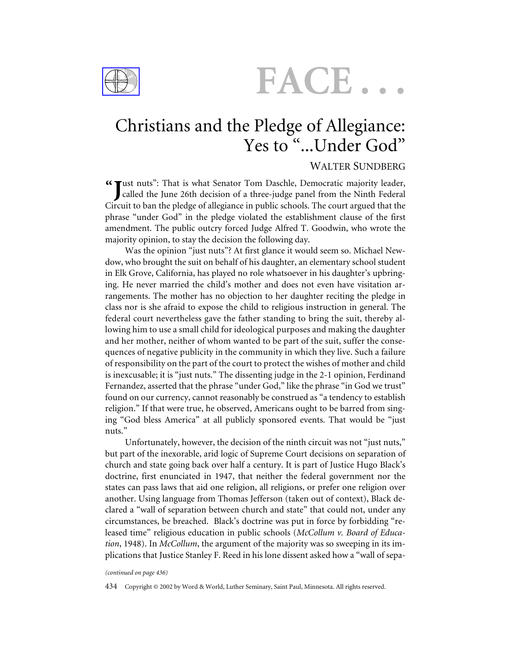

FACE..

## Christians and the Pledge of Allegiance: Yes to "...Under God"

### WALTER SUNDBERG

ust nuts": That is what Senator Tom Daschle, Democratic majority leader, **"** called the June 26th decision of a three-judge panel from the Ninth Federal Circuit to ban the pledge of allegiance in public schools. The court argued that the phrase "under God" in the pledge violated the establishment clause of the first amendment. The public outcry forced Judge Alfred T. Goodwin, who wrote the majority opinion, to stay the decision the following day.

Was the opinion "just nuts"? At first glance it would seem so. Michael Newdow, who brought the suit on behalf of his daughter, an elementary school student in Elk Grove, California, has played no role whatsoever in his daughter's upbringing. He never married the child's mother and does not even have visitation arrangements. The mother has no objection to her daughter reciting the pledge in class nor is she afraid to expose the child to religious instruction in general. The federal court nevertheless gave the father standing to bring the suit, thereby allowing him to use a small child for ideological purposes and making the daughter and her mother, neither of whom wanted to be part of the suit, suffer the consequences of negative publicity in the community in which they live. Such a failure of responsibility on the part of the court to protect the wishes of mother and child is inexcusable; it is "just nuts." The dissenting judge in the 2-1 opinion, Ferdinand Fernandez, asserted that the phrase "under God," like the phrase "in God we trust" found on our currency, cannot reasonably be construed as "a tendency to establish religion." If that were true, he observed, Americans ought to be barred from singing "God bless America" at all publicly sponsored events. That would be "just nuts."

Unfortunately, however, the decision of the ninth circuit was not "just nuts," but part of the inexorable, arid logic of Supreme Court decisions on separation of church and state going back over half a century. It is part of Justice Hugo Black's doctrine, first enunciated in 1947, that neither the federal government nor the states can pass laws that aid one religion, all religions, or prefer one religion over another. Using language from Thomas Jefferson (taken out of context), Black declared a "wall of separation between church and state" that could not, under any circumstances, be breached. Black's doctrine was put in force by forbidding "released time" religious education in public schools (*McCollum v. Board of Education*, 1948). In *McCollum*, the argument of the majority was so sweeping in its implications that Justice Stanley F. Reed in his lone dissent asked how a "wall of sepa-

#### *(continued on page 436)*

434 Copyright © 2002 by Word & World, Luther Seminary, Saint Paul, Minnesota. All rights reserved.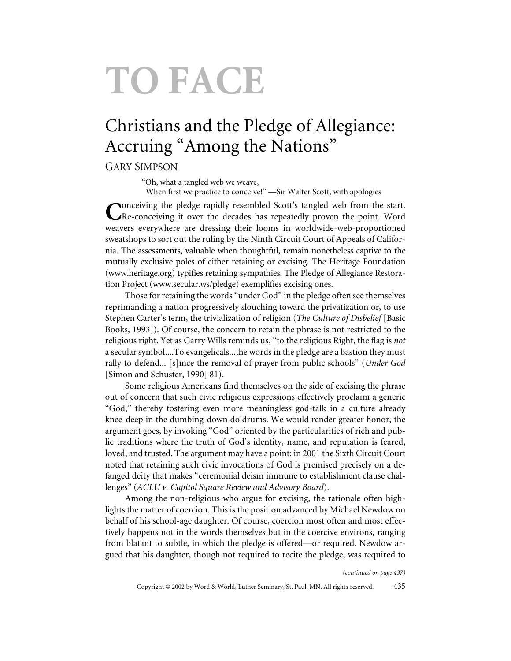# TO FACE

# Christians and the Pledge of Allegiance: Accruing "Among the Nations"

## GARY SIMPSON

"Oh, what a tangled web we weave,

When first we practice to conceive!" —Sir Walter Scott, with apologies

**Pronceiving the pledge rapidly resembled Scott's tangled web from the start.** Re-conceiving it over the decades has repeatedly proven the point. Word weavers everywhere are dressing their looms in worldwide-web-proportioned sweatshops to sort out the ruling by the Ninth Circuit Court of Appeals of California. The assessments, valuable when thoughtful, remain nonetheless captive to the mutually exclusive poles of either retaining or excising. The Heritage Foundation (www.heritage.org) typifies retaining sympathies. The Pledge of Allegiance Restoration Project (www.secular.ws/pledge) exemplifies excising ones.

Those for retaining the words "under God" in the pledge often see themselves reprimanding a nation progressively slouching toward the privatization or, to use Stephen Carter's term, the trivialization of religion (*The Culture of Disbelief* [Basic Books, 1993]). Of course, the concern to retain the phrase is not restricted to the religious right. Yet as Garry Wills reminds us, "to the religious Right, the flag is *not* a secular symbol....To evangelicals...the words in the pledge are a bastion they must rally to defend... [s]ince the removal of prayer from public schools" (*Under God* [Simon and Schuster, 1990] 81).

Some religious Americans find themselves on the side of excising the phrase out of concern that such civic religious expressions effectively proclaim a generic "God," thereby fostering even more meaningless god-talk in a culture already knee-deep in the dumbing-down doldrums. We would render greater honor, the argument goes, by invoking "God" oriented by the particularities of rich and public traditions where the truth of God's identity, name, and reputation is feared, loved, and trusted. The argument may have a point: in 2001 the Sixth Circuit Court noted that retaining such civic invocations of God is premised precisely on a defanged deity that makes "ceremonial deism immune to establishment clause challenges" (*ACLU v. Capitol Square Review and Advisory Board*).

Among the non-religious who argue for excising, the rationale often highlights the matter of coercion. This is the position advanced by Michael Newdow on behalf of his school-age daughter. Of course, coercion most often and most effectively happens not in the words themselves but in the coercive environs, ranging from blatant to subtle, in which the pledge is offered—or required. Newdow argued that his daughter, though not required to recite the pledge, was required to

*(continued on page 437)*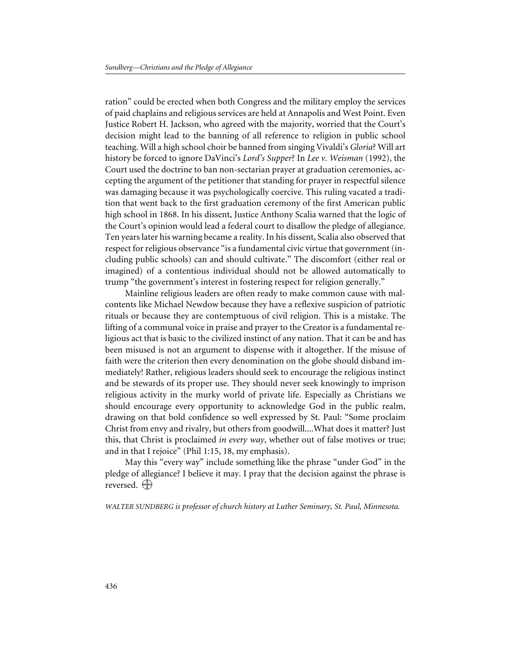ration" could be erected when both Congress and the military employ the services of paid chaplains and religious services are held at Annapolis and West Point. Even Justice Robert H. Jackson, who agreed with the majority, worried that the Court's decision might lead to the banning of all reference to religion in public school teaching. Will a high school choir be banned from singing Vivaldi's *Gloria*? Will art history be forced to ignore DaVinci's *Lord's Supper*? In *Lee v. Weisman* (1992), the Court used the doctrine to ban non-sectarian prayer at graduation ceremonies, accepting the argument of the petitioner that standing for prayer in respectful silence was damaging because it was psychologically coercive. This ruling vacated a tradition that went back to the first graduation ceremony of the first American public high school in 1868. In his dissent, Justice Anthony Scalia warned that the logic of the Court's opinion would lead a federal court to disallow the pledge of allegiance. Ten years later his warning became a reality. In his dissent, Scalia also observed that respect for religious observance "is a fundamental civic virtue that government (including public schools) can and should cultivate." The discomfort (either real or imagined) of a contentious individual should not be allowed automatically to trump "the government's interest in fostering respect for religion generally."

Mainline religious leaders are often ready to make common cause with malcontents like Michael Newdow because they have a reflexive suspicion of patriotic rituals or because they are contemptuous of civil religion. This is a mistake. The lifting of a communal voice in praise and prayer to the Creator is a fundamental religious act that is basic to the civilized instinct of any nation. That it can be and has been misused is not an argument to dispense with it altogether. If the misuse of faith were the criterion then every denomination on the globe should disband immediately! Rather, religious leaders should seek to encourage the religious instinct and be stewards of its proper use. They should never seek knowingly to imprison religious activity in the murky world of private life. Especially as Christians we should encourage every opportunity to acknowledge God in the public realm, drawing on that bold confidence so well expressed by St. Paul: "Some proclaim Christ from envy and rivalry, but others from goodwill....What does it matter? Just this, that Christ is proclaimed *in every way*, whether out of false motives or true; and in that I rejoice" (Phil 1:15, 18, my emphasis).

May this "every way" include something like the phrase "under God" in the pledge of allegiance? I believe it may. I pray that the decision against the phrase is reversed.  $\bigoplus$ 

*WALTER SUNDBERG is professor of church history at Luther Seminary, St. Paul, Minnesota.*